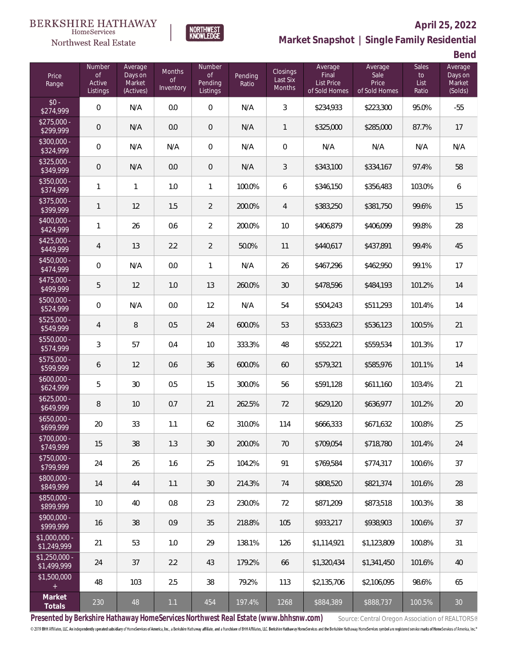### BERKSHIRE HATHAWAY  $\label{lem:sevices} \textsc{Home} \textsc{Service} \textsc{s}$

Northwest Real Estate



## **April 25, 2022 Market Snapshot | Single Family Residential**

**Bend**

| Price<br>Range                | Number<br><b>of</b><br>Active<br>Listings | Average<br>Days on<br>Market<br>(Actives) | Months<br>$\circ f$<br>Inventory | Number<br><b>of</b><br>Pending<br>Listings | Pending<br>Ratio | <b>Closings</b><br>Last Six<br>Months | Average<br>Final<br>List Price<br>of Sold Homes | Average<br>Sale<br>Price<br>of Sold Homes | <b>Sales</b><br>to<br>List<br>Ratio | Average<br>Days on<br>Market<br>(Solds) |
|-------------------------------|-------------------------------------------|-------------------------------------------|----------------------------------|--------------------------------------------|------------------|---------------------------------------|-------------------------------------------------|-------------------------------------------|-------------------------------------|-----------------------------------------|
| $$0 -$<br>\$274,999           | $\mathbf 0$                               | N/A                                       | 0.0                              | $\mathbf 0$                                | N/A              | $\mathfrak{Z}$                        | \$234,933                                       | \$223,300                                 | 95.0%                               | $-55$                                   |
| $$275,000 -$<br>\$299,999     | $\mathbf 0$                               | N/A                                       | 0.0                              | 0                                          | N/A              | $\mathbf{1}$                          | \$325,000                                       | \$285,000                                 | 87.7%                               | 17                                      |
| \$300,000 -<br>\$324,999      | $\mathbf 0$                               | N/A                                       | N/A                              | $\mathbf 0$                                | N/A              | $\overline{0}$                        | N/A                                             | N/A                                       | N/A                                 | N/A                                     |
| $$325,000 -$<br>\$349,999     | $\mathbf 0$                               | N/A                                       | 0.0                              | 0                                          | N/A              | $\mathfrak{Z}$                        | \$343,100                                       | \$334,167                                 | 97.4%                               | 58                                      |
| \$350,000 -<br>\$374,999      | $\mathbf{1}$                              | $\mathbf{1}$                              | 1.0                              | 1                                          | 100.0%           | 6                                     | \$346,150                                       | \$356,483                                 | 103.0%                              | 6                                       |
| $$375,000 -$<br>\$399,999     | $\mathbf{1}$                              | 12                                        | 1.5                              | $\overline{2}$                             | 200.0%           | $\overline{4}$                        | \$383,250                                       | \$381,750                                 | 99.6%                               | 15                                      |
| $$400,000 -$<br>\$424,999     | $\mathbf{1}$                              | 26                                        | 0.6                              | $\overline{2}$                             | 200.0%           | 10                                    | \$406,879                                       | \$406,099                                 | 99.8%                               | 28                                      |
| $$425,000 -$<br>\$449,999     | $\overline{4}$                            | 13                                        | 2.2                              | $\overline{2}$                             | 50.0%            | 11                                    | \$440,617                                       | \$437,891                                 | 99.4%                               | 45                                      |
| $$450,000 -$<br>\$474,999     | $\mathbf 0$                               | N/A                                       | 0.0                              | 1                                          | N/A              | 26                                    | \$467,296                                       | \$462,950                                 | 99.1%                               | 17                                      |
| $$475,000 -$<br>\$499,999     | $\mathbf 5$                               | 12                                        | 1.0                              | 13                                         | 260.0%           | 30                                    | \$478,596                                       | \$484,193                                 | 101.2%                              | 14                                      |
| \$500,000 -<br>\$524,999      | $\mathbf 0$                               | N/A                                       | 0.0                              | 12                                         | N/A              | 54                                    | \$504,243                                       | \$511,293                                 | 101.4%                              | 14                                      |
| $$525,000 -$<br>\$549,999     | $\overline{4}$                            | 8                                         | 0.5                              | 24                                         | 600.0%           | 53                                    | \$533,623                                       | \$536,123                                 | 100.5%                              | 21                                      |
| \$550,000 -<br>\$574,999      | $\mathfrak{Z}$                            | 57                                        | 0.4                              | 10                                         | 333.3%           | 48                                    | \$552,221                                       | \$559,534                                 | 101.3%                              | 17                                      |
| $$575,000 -$<br>\$599,999     | 6                                         | 12                                        | 0.6                              | 36                                         | 600.0%           | 60                                    | \$579,321                                       | \$585,976                                 | 101.1%                              | 14                                      |
| $$600,000 -$<br>\$624,999     | 5                                         | 30                                        | 0.5                              | 15                                         | 300.0%           | 56                                    | \$591,128                                       | \$611,160                                 | 103.4%                              | 21                                      |
| $$625,000 -$<br>\$649,999     | $\, 8$                                    | 10                                        | 0.7                              | 21                                         | 262.5%           | 72                                    | \$629,120                                       | \$636,977                                 | 101.2%                              | $20\,$                                  |
| $$650,000 -$<br>\$699,999     | 20                                        | 33                                        | 1.1                              | 62                                         | 310.0%           | 114                                   | \$666,333                                       | \$671,632                                 | 100.8%                              | 25                                      |
| $$700,000 -$<br>\$749,999     | 15                                        | $38\,$                                    | 1.3                              | 30                                         | 200.0%           | 70                                    | \$709,054                                       | \$718,780                                 | 101.4%                              | 24                                      |
| $$750,000 -$<br>\$799,999     | 24                                        | 26                                        | 1.6                              | 25                                         | 104.2%           | 91                                    | \$769,584                                       | \$774,317                                 | 100.6%                              | 37                                      |
| $$800,000 -$<br>\$849,999     | 14                                        | 44                                        | 1.1                              | 30                                         | 214.3%           | 74                                    | \$808,520                                       | \$821,374                                 | 101.6%                              | 28                                      |
| $$850,000 -$<br>\$899,999     | 10                                        | 40                                        | 0.8                              | 23                                         | 230.0%           | 72                                    | \$871,209                                       | \$873,518                                 | 100.3%                              | $38\,$                                  |
| $$900,000 -$<br>\$999,999     | 16                                        | 38                                        | 0.9                              | 35                                         | 218.8%           | 105                                   | \$933,217                                       | \$938,903                                 | 100.6%                              | 37                                      |
| $$1,000,000 -$<br>\$1,249,999 | 21                                        | 53                                        | 1.0                              | 29                                         | 138.1%           | 126                                   | \$1,114,921                                     | \$1,123,809                               | 100.8%                              | 31                                      |
| $$1,250,000 -$<br>\$1,499,999 | 24                                        | 37                                        | 2.2                              | 43                                         | 179.2%           | 66                                    | \$1,320,434                                     | \$1,341,450                               | 101.6%                              | 40                                      |
| \$1,500,000<br>$\pm$          | 48                                        | 103                                       | 2.5                              | 38                                         | 79.2%            | 113                                   | \$2,135,706                                     | \$2,106,095                               | 98.6%                               | 65                                      |
| Market<br>Totals              | 230                                       | 48                                        | 1.1                              | 454                                        | 197.4%           | 1268                                  | \$884,389                                       | \$888,737                                 | 100.5%                              | $30\,$                                  |

Presented by Berkshire Hathaway HomeServices Northwest Real Estate (www.bhhsnw.com) source: Central Oregon Association of REALTORS® © 2019 BHH Affiliates, LLC. An independently operated subsidiary of HomeServices of America, Inc., a Berkshire Hathaway affiliate, and a franchisee of BHH Affiliates, LLC. Berkshire Hathaway HomeServices and the Berkshire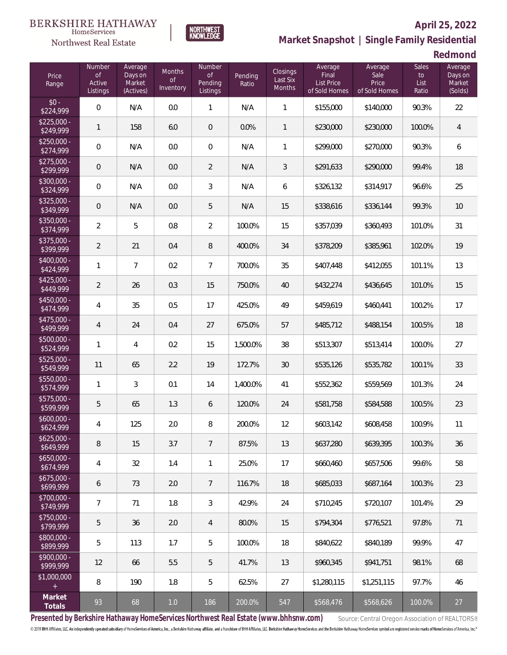### **April 25, 2022**



**BERKSHIRE HATHAWAY** 

 $\label{lem:sevices} \textsc{Home} \textsc{Service} \textsc{s}$ Northwest Real Estate

**Market Snapshot | Single Family Residential**

**Redmond**

| Price<br>Range            | Number<br><b>of</b><br>Active<br>Listings | Average<br>Days on<br>Market<br>(Actives) | <b>Months</b><br><b>of</b><br>Inventory | Number<br><b>of</b><br>Pending<br>Listings | Pending<br>Ratio | Closings<br>Last Six<br><b>Months</b> | Average<br>Final<br><b>List Price</b><br>of Sold Homes | Average<br>Sale<br>Price<br>of Sold Homes | <b>Sales</b><br>to<br>List<br>Ratio | Average<br>Days on<br>Market<br>(Solds) |
|---------------------------|-------------------------------------------|-------------------------------------------|-----------------------------------------|--------------------------------------------|------------------|---------------------------------------|--------------------------------------------------------|-------------------------------------------|-------------------------------------|-----------------------------------------|
| $$0 -$<br>\$224,999       | $\mathbf 0$                               | N/A                                       | 0.0                                     | $\mathbf{1}$                               | N/A              | 1                                     | \$155,000                                              | \$140,000                                 | 90.3%                               | 22                                      |
| $$225,000 -$<br>\$249,999 | $\mathbf{1}$                              | 158                                       | 6.0                                     | $\mathbf 0$                                | 0.0%             | $\mathbf{1}$                          | \$230,000                                              | \$230,000                                 | 100.0%                              | $\overline{4}$                          |
| $$250,000 -$<br>\$274,999 | $\mathbf 0$                               | N/A                                       | 0.0                                     | $\boldsymbol{0}$                           | N/A              | $\mathbf{1}$                          | \$299,000                                              | \$270,000                                 | 90.3%                               | 6                                       |
| $$275,000 -$<br>\$299,999 | $\mathbf 0$                               | N/A                                       | 0.0                                     | $\overline{2}$                             | N/A              | 3                                     | \$291,633                                              | \$290,000                                 | 99.4%                               | 18                                      |
| \$300,000 -<br>\$324,999  | $\mathbf 0$                               | N/A                                       | 0.0                                     | 3                                          | N/A              | 6                                     | \$326,132                                              | \$314,917                                 | 96.6%                               | 25                                      |
| $$325,000 -$<br>\$349,999 | $\theta$                                  | N/A                                       | 0.0                                     | 5                                          | N/A              | 15                                    | \$338,616                                              | \$336,144                                 | 99.3%                               | 10                                      |
| \$350,000 -<br>\$374,999  | $\overline{2}$                            | 5                                         | 0.8                                     | $\overline{2}$                             | 100.0%           | 15                                    | \$357,039                                              | \$360,493                                 | 101.0%                              | 31                                      |
| \$375,000 -<br>\$399,999  | $\overline{2}$                            | 21                                        | 0.4                                     | 8                                          | 400.0%           | 34                                    | \$378,209                                              | \$385,961                                 | 102.0%                              | 19                                      |
| \$400,000 -<br>\$424,999  | $\mathbf{1}$                              | $\overline{7}$                            | 0.2                                     | $\overline{7}$                             | 700.0%           | 35                                    | \$407,448                                              | \$412,055                                 | 101.1%                              | 13                                      |
| $$425,000 -$<br>\$449,999 | $\overline{2}$                            | 26                                        | 0.3                                     | 15                                         | 750.0%           | 40                                    | \$432,274                                              | \$436,645                                 | 101.0%                              | 15                                      |
| \$450,000 -<br>\$474,999  | $\overline{4}$                            | 35                                        | 0.5                                     | 17                                         | 425.0%           | 49                                    | \$459,619                                              | \$460,441                                 | 100.2%                              | 17                                      |
| $$475,000 -$<br>\$499,999 | $\overline{4}$                            | 24                                        | 0.4                                     | 27                                         | 675.0%           | 57                                    | \$485,712                                              | \$488,154                                 | 100.5%                              | 18                                      |
| $$500.000 -$<br>\$524,999 | $\mathbf{1}$                              | $\overline{4}$                            | 0.2                                     | 15                                         | 1,500.0%         | 38                                    | \$513,307                                              | \$513,414                                 | 100.0%                              | 27                                      |
| $$525,000 -$<br>\$549,999 | 11                                        | 65                                        | 2.2                                     | 19                                         | 172.7%           | 30                                    | \$535,126                                              | \$535,782                                 | 100.1%                              | 33                                      |
| $$550,000 -$<br>\$574,999 | $\mathbf{1}$                              | 3                                         | 0.1                                     | 14                                         | 1,400.0%         | 41                                    | \$552,362                                              | \$559,569                                 | 101.3%                              | 24                                      |
| $$575,000 -$<br>\$599,999 | 5                                         | 65                                        | 1.3                                     | 6                                          | 120.0%           | 24                                    | \$581,758                                              | \$584,588                                 | 100.5%                              | 23                                      |
| $$600,000 -$<br>\$624,999 | 4                                         | 125                                       | 2.0                                     | 8                                          | 200.0%           | 12                                    | \$603,142                                              | \$608,458                                 | 100.9%                              | 11                                      |
| $$625,000 -$<br>\$649,999 | $\, 8$                                    | 15                                        | 3.7                                     | $\overline{7}$                             | 87.5%            | 13                                    | \$637,280                                              | \$639,395                                 | 100.3%                              | 36                                      |
| $$650,000 -$<br>\$674,999 | $\overline{4}$                            | 32                                        | 1.4                                     | $\mathbf{1}$                               | 25.0%            | 17                                    | \$660,460                                              | \$657.506                                 | 99.6%                               | 58                                      |
| $$675,000 -$<br>\$699,999 | 6                                         | 73                                        | 2.0                                     | $\overline{7}$                             | 116.7%           | 18                                    | \$685,033                                              | \$687,164                                 | 100.3%                              | 23                                      |
| $$700,000 -$<br>\$749,999 | $\overline{7}$                            | 71                                        | 1.8                                     | 3                                          | 42.9%            | 24                                    | \$710,245                                              | \$720,107                                 | 101.4%                              | 29                                      |
| \$750,000 -<br>\$799,999  | 5                                         | 36                                        | 2.0                                     | 4                                          | 80.0%            | 15                                    | \$794,304                                              | \$776,521                                 | 97.8%                               | 71                                      |
| \$800,000 -<br>\$899,999  | 5                                         | 113                                       | 1.7                                     | 5                                          | 100.0%           | 18                                    | \$840,622                                              | \$840.189                                 | 99.9%                               | 47                                      |
| \$900,000 -<br>\$999,999  | 12                                        | 66                                        | 5.5                                     | 5                                          | 41.7%            | 13                                    | \$960,345                                              | \$941,751                                 | 98.1%                               | 68                                      |
| \$1,000,000<br>$+$        | 8                                         | 190                                       | 1.8                                     | 5                                          | 62.5%            | 27                                    | \$1,280,115                                            | \$1,251,115                               | 97.7%                               | 46                                      |
| Market<br>Totals          | 93                                        | 68                                        | $1.0$                                   | 186                                        | 200.0%           | 547                                   | \$568,476                                              | \$568,626                                 | 100.0%                              | 27                                      |

Presented by Berkshire Hathaway HomeServices Northwest Real Estate (www.bhhsnw.com) source: Central Oregon Association of REALTORS® © 2019 BHH Affiliates, LLC. An independently operated subsidiary of HomeServices of America, Inc., a Berkshire Hathaway affiliate, and a franchisee of BHH Affiliates, LLC. Berkshire Hathaway HomeServices and the Berkshire